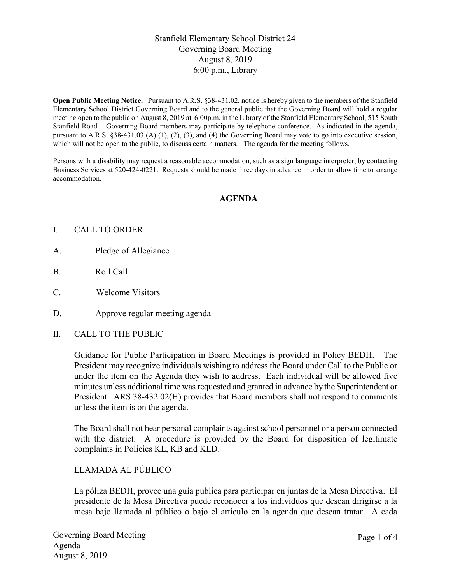## Stanfield Elementary School District 24 Governing Board Meeting August 8, 2019 6:00 p.m., Library

Open Public Meeting Notice. Pursuant to A.R.S. §38-431.02, notice is hereby given to the members of the Stanfield Elementary School District Governing Board and to the general public that the Governing Board will hold a regular meeting open to the public on August 8, 2019 at 6:00p.m. in the Library of the Stanfield Elementary School, 515 South Stanfield Road. Governing Board members may participate by telephone conference. As indicated in the agenda, pursuant to A.R.S. §38-431.03 (A) (1), (2), (3), and (4) the Governing Board may vote to go into executive session, which will not be open to the public, to discuss certain matters. The agenda for the meeting follows.

Persons with a disability may request a reasonable accommodation, such as a sign language interpreter, by contacting Business Services at 520-424-0221. Requests should be made three days in advance in order to allow time to arrange accommodation.

### AGENDA

#### I. CALL TO ORDER

- A. Pledge of Allegiance
- B. Roll Call
- C. Welcome Visitors
- D. Approve regular meeting agenda
- II. CALL TO THE PUBLIC

Guidance for Public Participation in Board Meetings is provided in Policy BEDH. The President may recognize individuals wishing to address the Board under Call to the Public or under the item on the Agenda they wish to address. Each individual will be allowed five minutes unless additional time was requested and granted in advance by the Superintendent or President. ARS 38-432.02(H) provides that Board members shall not respond to comments unless the item is on the agenda.

The Board shall not hear personal complaints against school personnel or a person connected with the district. A procedure is provided by the Board for disposition of legitimate complaints in Policies KL, KB and KLD.

### LLAMADA AL PÚBLICO

La póliza BEDH, provee una guía publica para participar en juntas de la Mesa Directiva. El presidente de la Mesa Directiva puede reconocer a los individuos que desean dirigirse a la mesa bajo llamada al público o bajo el artículo en la agenda que desean tratar. A cada

Governing Board Meeting Agenda August 8, 2019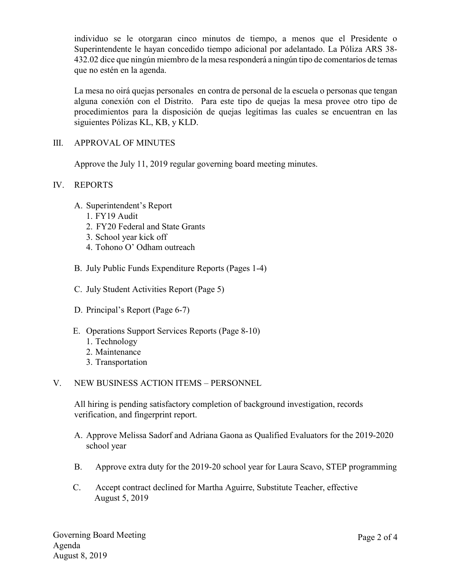individuo se le otorgaran cinco minutos de tiempo, a menos que el Presidente o Superintendente le hayan concedido tiempo adicional por adelantado. La Póliza ARS 38- 432.02 dice que ningún miembro de la mesa responderá a ningún tipo de comentarios de temas que no estén en la agenda.

La mesa no oirá quejas personales en contra de personal de la escuela o personas que tengan alguna conexión con el Distrito. Para este tipo de quejas la mesa provee otro tipo de procedimientos para la disposición de quejas legítimas las cuales se encuentran en las siguientes Pólizas KL, KB, y KLD.

### III. APPROVAL OF MINUTES

Approve the July 11, 2019 regular governing board meeting minutes.

### IV. REPORTS

- A. Superintendent's Report
	- 1. FY19 Audit
	- 2. FY20 Federal and State Grants
	- 3. School year kick off
	- 4. Tohono O' Odham outreach
- B. July Public Funds Expenditure Reports (Pages 1-4)
- C. July Student Activities Report (Page 5)
- D. Principal's Report (Page 6-7)
- E. Operations Support Services Reports (Page 8-10)
	- 1. Technology
	- 2. Maintenance
	- 3. Transportation

### V. NEW BUSINESS ACTION ITEMS – PERSONNEL

All hiring is pending satisfactory completion of background investigation, records verification, and fingerprint report.

- A. Approve Melissa Sadorf and Adriana Gaona as Qualified Evaluators for the 2019-2020 school year
- B. Approve extra duty for the 2019-20 school year for Laura Scavo, STEP programming
- C. Accept contract declined for Martha Aguirre, Substitute Teacher, effective August 5, 2019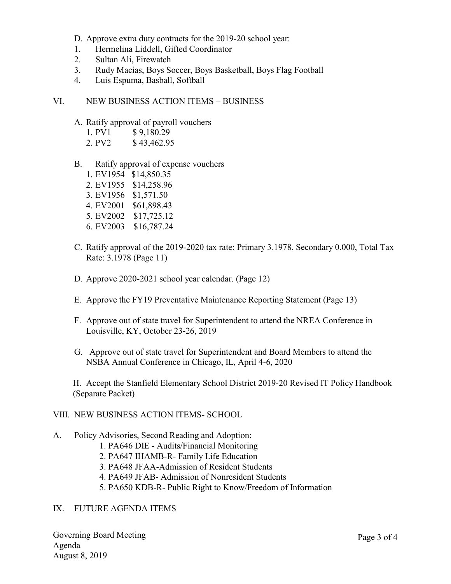D. Approve extra duty contracts for the 2019-20 school year:

- 1. Hermelina Liddell, Gifted Coordinator
- 2. Sultan Ali, Firewatch
- 3. Rudy Macias, Boys Soccer, Boys Basketball, Boys Flag Football
- 4. Luis Espuma, Basball, Softball
- VI. NEW BUSINESS ACTION ITEMS BUSINESS
	- A. Ratify approval of payroll vouchers
		- 1. PV1 \$9,180.29
		- 2. PV2 \$43,462.95
	- B. Ratify approval of expense vouchers
		- 1. EV1954 \$14,850.35
		- 2. EV1955 \$14,258.96
		- 3. EV1956 \$1,571.50
		- 4. EV2001 \$61,898.43
		- 5. EV2002 \$17,725.12
		- 6. EV2003 \$16,787.24
	- C. Ratify approval of the 2019-2020 tax rate: Primary 3.1978, Secondary 0.000, Total Tax Rate: 3.1978 (Page 11)
	- D. Approve 2020-2021 school year calendar. (Page 12)
	- E. Approve the FY19 Preventative Maintenance Reporting Statement (Page 13)
	- F. Approve out of state travel for Superintendent to attend the NREA Conference in Louisville, KY, October 23-26, 2019
	- G. Approve out of state travel for Superintendent and Board Members to attend the NSBA Annual Conference in Chicago, IL, April 4-6, 2020

H. Accept the Stanfield Elementary School District 2019-20 Revised IT Policy Handbook (Separate Packet)

- VIII. NEW BUSINESS ACTION ITEMS- SCHOOL
- A. Policy Advisories, Second Reading and Adoption:
	- 1. PA646 DIE Audits/Financial Monitoring
	- 2. PA647 IHAMB-R- Family Life Education
	- 3. PA648 JFAA-Admission of Resident Students
	- 4. PA649 JFAB- Admission of Nonresident Students
	- 5. PA650 KDB-R- Public Right to Know/Freedom of Information

### IX. FUTURE AGENDA ITEMS

Governing Board Meeting Agenda August 8, 2019